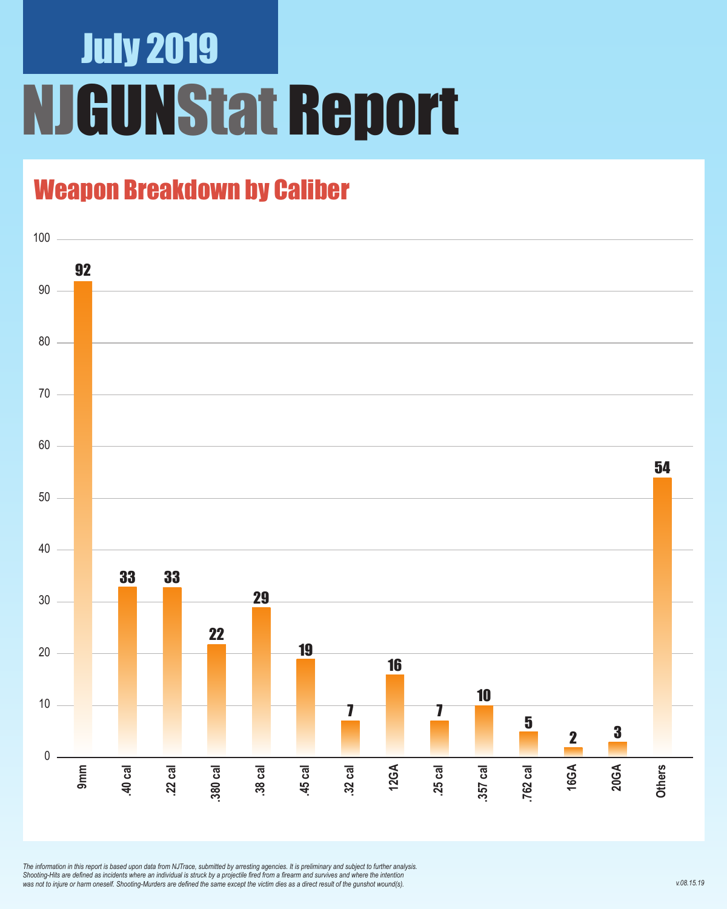### July 2019 NJGUNStat Report

### Weapon Breakdown by Caliber



*The information in this report is based upon data from NJTrace, submitted by arresting agencies. It is preliminary and subject to further analysis. Shooting-Hits are defined as incidents where an individual is struck by a projectile fired from a firearm and survives and where the intention was not to injure or harm oneself. Shooting-Murders are defined the same except the victim dies as a direct result of the gunshot wound(s).*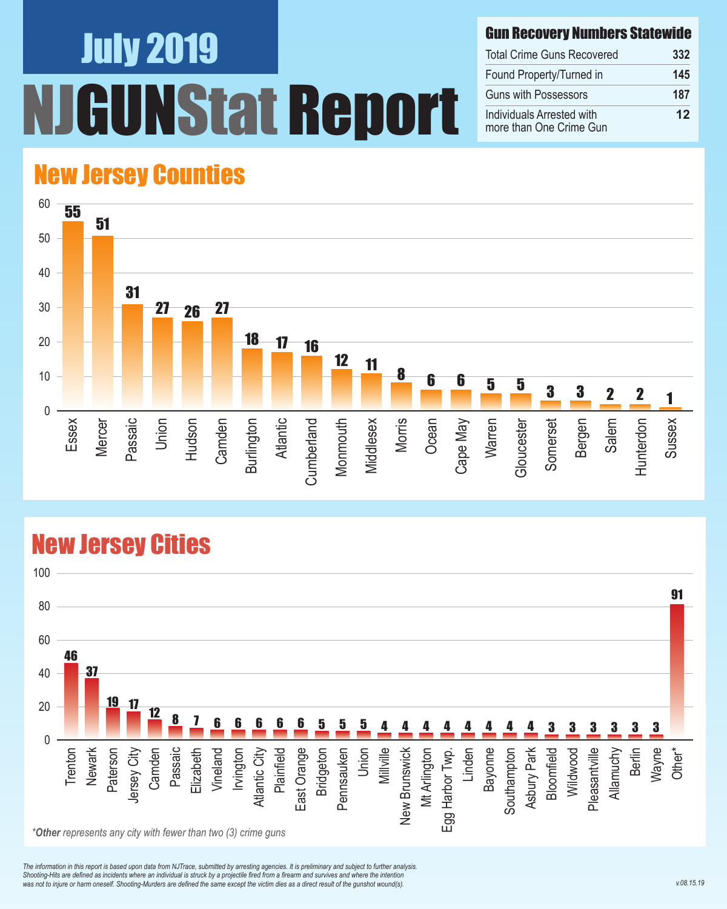# July 2019 NStat Report

#### Gun Recovery Numbers Statewide

| <b>Total Crime Guns Recovered</b>                    | 332 |
|------------------------------------------------------|-----|
| Found Property/Turned in                             | 145 |
| Guns with Possessors                                 | 187 |
| Individuals Arrested with<br>more than One Crime Gun | 12  |

#### New Jersey Counties



#### New Jersey Cities



*The information in this report is based upon data from NJTrace, submitted by arresting agencies. It is preliminary and subject to further analysis. Shooting-Hits are defined as incidents where an individual is struck by a projectile fired from a firearm and survives and where the intention*  was not to injure or harm oneself. Shooting-Murders are defined the same except the victim dies as a direct result of the gunshot wound(s).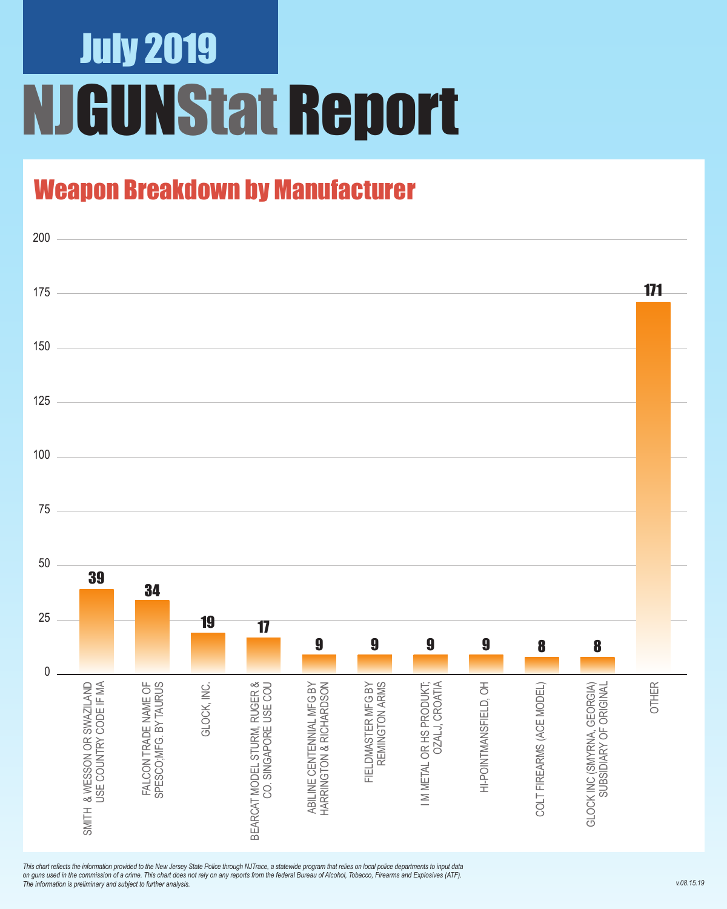## July 2019 NJGUNStat Report

### Weapon Breakdown by Manufacturer



*This chart reflects the information provided to the New Jersey State Police through NJTrace, a statewide program that relies on local police departments to input data on guns used in the commission of a crime. This chart does not rely on any reports from the federal Bureau of Alcohol, Tobacco, Firearms and Explosives (ATF). The information is preliminary and subject to further analysis.*